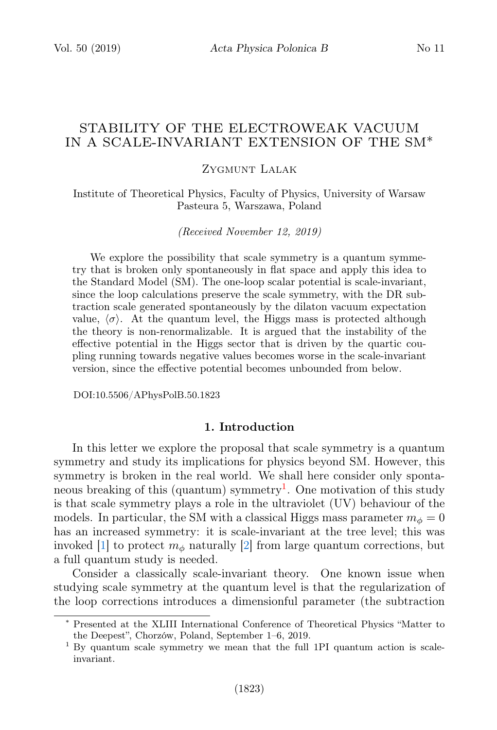# STABILITY OF THE ELECTROWEAK VACUUM IN A SCALE-INVARIANT EXTENSION OF THE SM∗

# Zygmunt Lalak

Institute of Theoretical Physics, Faculty of Physics, University of Warsaw Pasteura 5, Warszawa, Poland

(Received November 12, 2019)

We explore the possibility that scale symmetry is a quantum symmetry that is broken only spontaneously in flat space and apply this idea to the Standard Model (SM). The one-loop scalar potential is scale-invariant, since the loop calculations preserve the scale symmetry, with the DR subtraction scale generated spontaneously by the dilaton vacuum expectation value,  $\langle \sigma \rangle$ . At the quantum level, the Higgs mass is protected although the theory is non-renormalizable. It is argued that the instability of the effective potential in the Higgs sector that is driven by the quartic coupling running towards negative values becomes worse in the scale-invariant version, since the effective potential becomes unbounded from below.

DOI:10.5506/APhysPolB.50.1823

## 1. Introduction

In this letter we explore the proposal that scale symmetry is a quantum symmetry and study its implications for physics beyond SM. However, this symmetry is broken in the real world. We shall here consider only sponta-neous breaking of this (quantum) symmetry<sup>[1](#page-0-0)</sup>. One motivation of this study is that scale symmetry plays a role in the ultraviolet (UV) behaviour of the models. In particular, the SM with a classical Higgs mass parameter  $m_{\phi} = 0$ has an increased symmetry: it is scale-invariant at the tree level; this was invoked [\[1\]](#page-12-0) to protect  $m_{\phi}$  naturally [\[2\]](#page-12-1) from large quantum corrections, but a full quantum study is needed.

Consider a classically scale-invariant theory. One known issue when studying scale symmetry at the quantum level is that the regularization of the loop corrections introduces a dimensionful parameter (the subtraction

<sup>∗</sup> Presented at the XLIII International Conference of Theoretical Physics "Matter to the Deepest", Chorzów, Poland, September 1–6, 2019.

<span id="page-0-0"></span><sup>&</sup>lt;sup>1</sup> By quantum scale symmetry we mean that the full 1PI quantum action is scaleinvariant.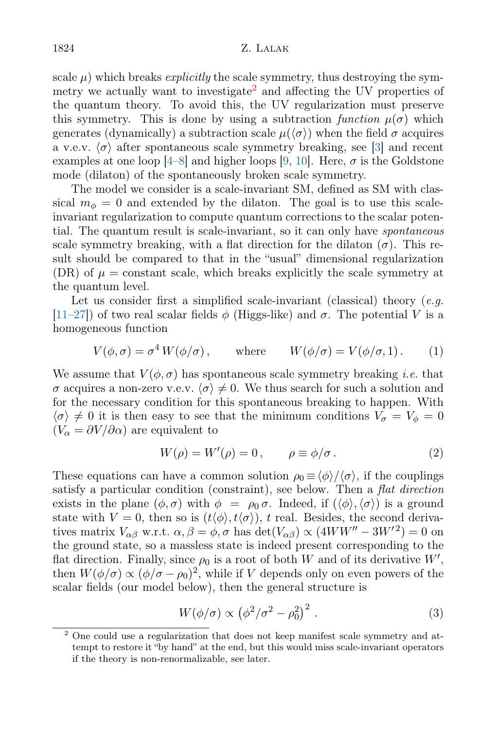scale  $\mu$ ) which breaks *explicitly* the scale symmetry, thus destroying the sym-metry we actually want to investigate<sup>[2](#page-1-0)</sup> and affecting the UV properties of the quantum theory. To avoid this, the UV regularization must preserve this symmetry. This is done by using a subtraction function  $\mu(\sigma)$  which generates (dynamically) a subtraction scale  $\mu(\langle \sigma \rangle)$  when the field  $\sigma$  acquires a v.e.v.  $\langle \sigma \rangle$  after spontaneous scale symmetry breaking, see [\[3\]](#page-12-2) and recent examples at one loop [\[4](#page-12-3)[–8\]](#page-12-4) and higher loops [\[9,](#page-12-5) [10\]](#page-12-6). Here,  $\sigma$  is the Goldstone mode (dilaton) of the spontaneously broken scale symmetry.

The model we consider is a scale-invariant SM, defined as SM with classical  $m_{\phi} = 0$  and extended by the dilaton. The goal is to use this scaleinvariant regularization to compute quantum corrections to the scalar potential. The quantum result is scale-invariant, so it can only have spontaneous scale symmetry breaking, with a flat direction for the dilaton  $(\sigma)$ . This result should be compared to that in the "usual" dimensional regularization (DR) of  $\mu$  = constant scale, which breaks explicitly the scale symmetry at the quantum level.

Let us consider first a simplified scale-invariant (classical) theory  $(e.g.,)$  $(11–27)$  of two real scalar fields  $\phi$  (Higgs-like) and  $\sigma$ . The potential V is a homogeneous function

<span id="page-1-2"></span>
$$
V(\phi, \sigma) = \sigma^4 W(\phi/\sigma), \quad \text{where} \quad W(\phi/\sigma) = V(\phi/\sigma, 1). \quad (1)
$$

We assume that  $V(\phi, \sigma)$  has spontaneous scale symmetry breaking *i.e.* that σ acquires a non-zero v.e.v.  $\langle \sigma \rangle \neq 0$ . We thus search for such a solution and for the necessary condition for this spontaneous breaking to happen. With  $\langle \sigma \rangle \neq 0$  it is then easy to see that the minimum conditions  $V_{\sigma} = V_{\phi} = 0$  $(V_{\alpha} = \partial V/\partial \alpha)$  are equivalent to

<span id="page-1-1"></span>
$$
W(\rho) = W'(\rho) = 0, \qquad \rho \equiv \phi/\sigma. \tag{2}
$$

These equations can have a common solution  $\rho_0 \equiv \langle \phi \rangle / \langle \sigma \rangle$ , if the couplings satisfy a particular condition (constraint), see below. Then a *flat direction* exists in the plane  $(\phi, \sigma)$  with  $\phi = \rho_0 \sigma$ . Indeed, if  $(\langle \phi \rangle, \langle \sigma \rangle)$  is a ground state with  $V = 0$ , then so is  $(t\langle \phi \rangle, t\langle \sigma \rangle)$ , t real. Besides, the second derivatives matrix  $V_{\alpha\beta}$  w.r.t.  $\alpha, \beta = \phi, \sigma$  has  $\det(V_{\alpha\beta}) \propto (4WW'' - 3W'^2) = 0$  on the ground state, so a massless state is indeed present corresponding to the flat direction. Finally, since  $\rho_0$  is a root of both W and of its derivative W', then  $W(\phi/\sigma) \propto (\phi/\sigma - \rho_0)^2$ , while if V depends only on even powers of the scalar fields (our model below), then the general structure is

<span id="page-1-3"></span>
$$
W(\phi/\sigma) \propto (\phi^2/\sigma^2 - \rho_0^2)^2 \ . \tag{3}
$$

<span id="page-1-0"></span> $2$  One could use a regularization that does not keep manifest scale symmetry and attempt to restore it "by hand" at the end, but this would miss scale-invariant operators if the theory is non-renormalizable, see later.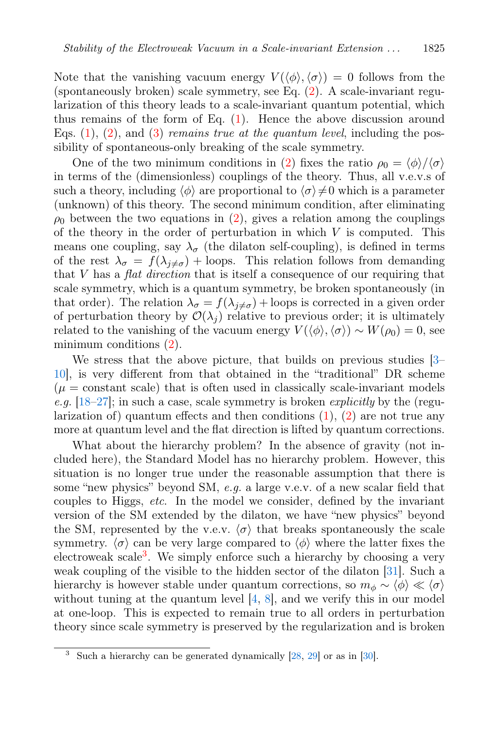Note that the vanishing vacuum energy  $V(\langle \phi \rangle, \langle \sigma \rangle) = 0$  follows from the (spontaneously broken) scale symmetry, see Eq. [\(2\)](#page-1-1). A scale-invariant regularization of this theory leads to a scale-invariant quantum potential, which thus remains of the form of Eq. [\(1\)](#page-1-2). Hence the above discussion around Eqs.  $(1)$ ,  $(2)$ , and  $(3)$  remains true at the quantum level, including the possibility of spontaneous-only breaking of the scale symmetry.

One of the two minimum conditions in [\(2\)](#page-1-1) fixes the ratio  $\rho_0 = \langle \phi \rangle / \langle \sigma \rangle$ in terms of the (dimensionless) couplings of the theory. Thus, all v.e.v.s of such a theory, including  $\langle \phi \rangle$  are proportional to  $\langle \sigma \rangle \neq 0$  which is a parameter (unknown) of this theory. The second minimum condition, after eliminating  $\rho_0$  between the two equations in [\(2\)](#page-1-1), gives a relation among the couplings of the theory in the order of perturbation in which  $V$  is computed. This means one coupling, say  $\lambda_{\sigma}$  (the dilaton self-coupling), is defined in terms of the rest  $\lambda_{\sigma} = f(\lambda_{i \neq \sigma})$  + loops. This relation follows from demanding that V has a *flat direction* that is itself a consequence of our requiring that scale symmetry, which is a quantum symmetry, be broken spontaneously (in that order). The relation  $\lambda_{\sigma} = f(\lambda_{i \neq \sigma}) +$ loops is corrected in a given order of perturbation theory by  $\mathcal{O}(\lambda_i)$  relative to previous order; it is ultimately related to the vanishing of the vacuum energy  $V(\langle \phi \rangle, \langle \sigma \rangle) \sim W(\rho_0) = 0$ , see minimum conditions [\(2\)](#page-1-1).

We stress that the above picture, that builds on previous studies [\[3–](#page-12-2) [10\]](#page-12-6), is very different from that obtained in the "traditional" DR scheme  $(\mu = constant scale)$  that is often used in classically scale-invariant models e.g.  $[18–27]$  $[18–27]$ ; in such a case, scale symmetry is broken *explicitly* by the (regularization of) quantum effects and then conditions  $(1), (2)$  $(1), (2)$  $(1), (2)$  are not true any more at quantum level and the flat direction is lifted by quantum corrections.

What about the hierarchy problem? In the absence of gravity (not included here), the Standard Model has no hierarchy problem. However, this situation is no longer true under the reasonable assumption that there is some "new physics" beyond SM, e.g. a large v.e.v. of a new scalar field that couples to Higgs, etc. In the model we consider, defined by the invariant version of the SM extended by the dilaton, we have "new physics" beyond the SM, represented by the v.e.v.  $\langle \sigma \rangle$  that breaks spontaneously the scale symmetry.  $\langle \sigma \rangle$  can be very large compared to  $\langle \phi \rangle$  where the latter fixes the electroweak scale<sup>[3](#page-2-0)</sup>. We simply enforce such a hierarchy by choosing a very weak coupling of the visible to the hidden sector of the dilaton [\[31\]](#page-13-1). Such a hierarchy is however stable under quantum corrections, so  $m_{\phi} \sim \langle \phi \rangle \ll \langle \sigma \rangle$ without tuning at the quantum level  $[4, 8]$  $[4, 8]$  $[4, 8]$ , and we verify this in our model at one-loop. This is expected to remain true to all orders in perturbation theory since scale symmetry is preserved by the regularization and is broken

<span id="page-2-0"></span>Such a hierarchy can be generated dynamically  $[28, 29]$  $[28, 29]$  $[28, 29]$  or as in  $[30]$ .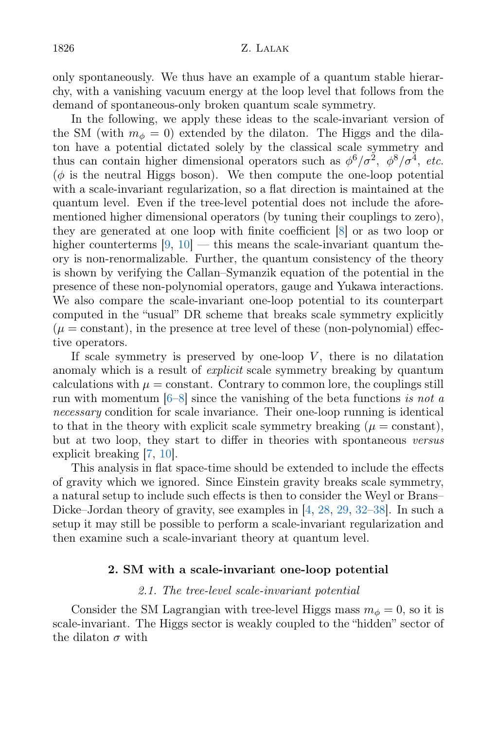only spontaneously. We thus have an example of a quantum stable hierarchy, with a vanishing vacuum energy at the loop level that follows from the demand of spontaneous-only broken quantum scale symmetry.

In the following, we apply these ideas to the scale-invariant version of the SM (with  $m_{\phi} = 0$ ) extended by the dilaton. The Higgs and the dilaton have a potential dictated solely by the classical scale symmetry and thus can contain higher dimensional operators such as  $\phi^6/\sigma^2$ ,  $\phi^8/\sigma^4$ , *etc.*  $(\phi)$  is the neutral Higgs boson). We then compute the one-loop potential with a scale-invariant regularization, so a flat direction is maintained at the quantum level. Even if the tree-level potential does not include the aforementioned higher dimensional operators (by tuning their couplings to zero), they are generated at one loop with finite coefficient [\[8\]](#page-12-4) or as two loop or higher counterterms  $[9, 10]$  $[9, 10]$  $[9, 10]$  — this means the scale-invariant quantum theory is non-renormalizable. Further, the quantum consistency of the theory is shown by verifying the Callan–Symanzik equation of the potential in the presence of these non-polynomial operators, gauge and Yukawa interactions. We also compare the scale-invariant one-loop potential to its counterpart computed in the "usual" DR scheme that breaks scale symmetry explicitly  $(\mu = constant)$ , in the presence at tree level of these (non-polynomial) effective operators.

If scale symmetry is preserved by one-loop  $V$ , there is no dilatation anomaly which is a result of *explicit* scale symmetry breaking by quantum calculations with  $\mu = constant$ . Contrary to common lore, the couplings still run with momentum  $[6-8]$  $[6-8]$  since the vanishing of the beta functions is not a necessary condition for scale invariance. Their one-loop running is identical to that in the theory with explicit scale symmetry breaking  $(\mu = constant)$ , but at two loop, they start to differ in theories with spontaneous versus explicit breaking [\[7,](#page-12-10) [10\]](#page-12-6).

This analysis in flat space-time should be extended to include the effects of gravity which we ignored. Since Einstein gravity breaks scale symmetry, a natural setup to include such effects is then to consider the Weyl or Brans– Dicke–Jordan theory of gravity, see examples in [\[4,](#page-12-3) [28,](#page-13-2) [29,](#page-13-3) [32–](#page-13-5)[38\]](#page-13-6). In such a setup it may still be possible to perform a scale-invariant regularization and then examine such a scale-invariant theory at quantum level.

### 2. SM with a scale-invariant one-loop potential

### 2.1. The tree-level scale-invariant potential

Consider the SM Lagrangian with tree-level Higgs mass  $m_{\phi} = 0$ , so it is scale-invariant. The Higgs sector is weakly coupled to the "hidden" sector of the dilaton  $\sigma$  with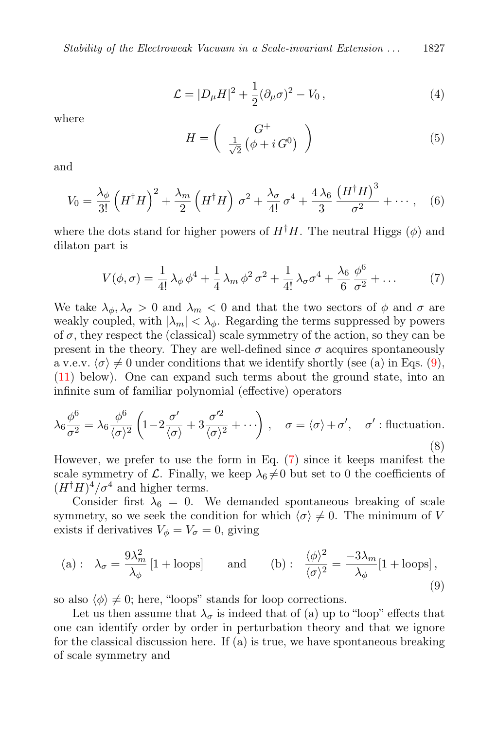$$
\mathcal{L} = |D_{\mu}H|^{2} + \frac{1}{2}(\partial_{\mu}\sigma)^{2} - V_{0}, \qquad (4)
$$

where

$$
H = \left(\begin{array}{c} G^+ \\ \frac{1}{\sqrt{2}} \left(\phi + i \, G^0\right) \end{array}\right) \tag{5}
$$

and

$$
V_0 = \frac{\lambda_\phi}{3!} \left( H^\dagger H \right)^2 + \frac{\lambda_m}{2} \left( H^\dagger H \right) \sigma^2 + \frac{\lambda_\sigma}{4!} \sigma^4 + \frac{4 \lambda_6}{3} \frac{\left( H^\dagger H \right)^3}{\sigma^2} + \cdots, \quad (6)
$$

where the dots stand for higher powers of  $H^{\dagger}H$ . The neutral Higgs ( $\phi$ ) and dilaton part is

<span id="page-4-1"></span>
$$
V(\phi,\sigma) = \frac{1}{4!} \lambda_{\phi} \phi^4 + \frac{1}{4} \lambda_m \phi^2 \sigma^2 + \frac{1}{4!} \lambda_{\sigma} \sigma^4 + \frac{\lambda_6}{6} \frac{\phi^6}{\sigma^2} + \dots \tag{7}
$$

We take  $\lambda_{\phi}, \lambda_{\sigma} > 0$  and  $\lambda_{m} < 0$  and that the two sectors of  $\phi$  and  $\sigma$  are weakly coupled, with  $|\lambda_m| < \lambda_{\phi}$ . Regarding the terms suppressed by powers of  $\sigma$ , they respect the (classical) scale symmetry of the action, so they can be present in the theory. They are well-defined since  $\sigma$  acquires spontaneously a v.e.v.  $\langle \sigma \rangle \neq 0$  under conditions that we identify shortly (see (a) in Eqs. [\(9\)](#page-4-0), [\(11\)](#page-5-0) below). One can expand such terms about the ground state, into an infinite sum of familiar polynomial (effective) operators

$$
\lambda_6 \frac{\phi^6}{\sigma^2} = \lambda_6 \frac{\phi^6}{\langle \sigma \rangle^2} \left( 1 - 2 \frac{\sigma'}{\langle \sigma \rangle} + 3 \frac{\sigma'^2}{\langle \sigma \rangle^2} + \cdots \right), \quad \sigma = \langle \sigma \rangle + \sigma', \quad \sigma' : \text{fluctuation.}
$$
\n(8)

However, we prefer to use the form in Eq. [\(7\)](#page-4-1) since it keeps manifest the scale symmetry of L. Finally, we keep  $\lambda_6 \neq 0$  but set to 0 the coefficients of  $(H^{\dagger}H)^4/\sigma^4$  and higher terms.

Consider first  $\lambda_6 = 0$ . We demanded spontaneous breaking of scale symmetry, so we seek the condition for which  $\langle \sigma \rangle \neq 0$ . The minimum of V exists if derivatives  $V_{\phi} = V_{\sigma} = 0$ , giving

<span id="page-4-0"></span>(a): 
$$
\lambda_{\sigma} = \frac{9\lambda_m^2}{\lambda_{\phi}} [1 + \text{loops}]
$$
 and (b):  $\frac{\langle \phi \rangle^2}{\langle \sigma \rangle^2} = \frac{-3\lambda_m}{\lambda_{\phi}} [1 + \text{loops}],$  (9)

so also  $\langle \phi \rangle \neq 0$ ; here, "loops" stands for loop corrections.

Let us then assume that  $\lambda_{\sigma}$  is indeed that of (a) up to "loop" effects that one can identify order by order in perturbation theory and that we ignore for the classical discussion here. If (a) is true, we have spontaneous breaking of scale symmetry and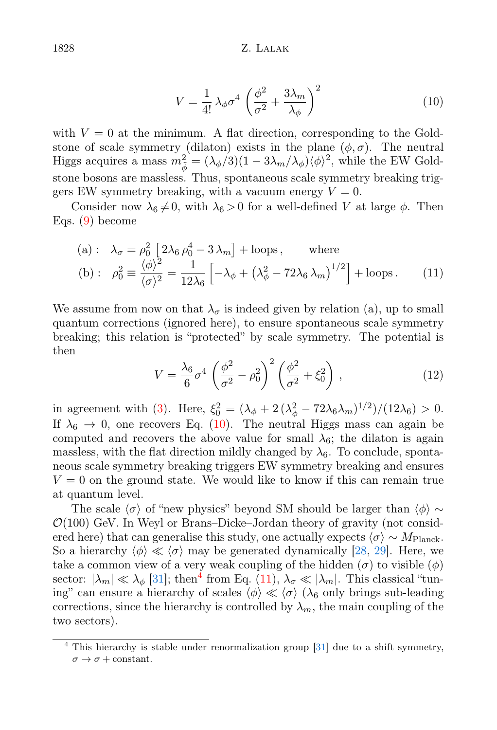$$
V = \frac{1}{4!} \lambda_{\phi} \sigma^4 \left( \frac{\phi^2}{\sigma^2} + \frac{3\lambda_m}{\lambda_{\phi}} \right)^2
$$
 (10)

<span id="page-5-1"></span>with  $V = 0$  at the minimum. A flat direction, corresponding to the Goldstone of scale symmetry (dilaton) exists in the plane  $(\phi, \sigma)$ . The neutral Higgs acquires a mass  $m_{\tilde{\phi}}^2 = (\lambda_{\phi}/3)(1 - 3\lambda_m/\lambda_{\phi})\langle \phi \rangle^2$ , while the EW Goldstone bosons are massless. Thus, spontaneous scale symmetry breaking triggers EW symmetry breaking, with a vacuum energy  $V = 0$ .

Consider now  $\lambda_6 \neq 0$ , with  $\lambda_6 > 0$  for a well-defined V at large  $\phi$ . Then Eqs. [\(9\)](#page-4-0) become

(a): 
$$
\lambda_{\sigma} = \rho_0^2 \left[ 2\lambda_6 \rho_0^4 - 3\lambda_m \right] + \text{loops}, \text{ where}
$$
  
\n(b):  $\rho_0^2 \equiv \frac{\langle \phi \rangle^2}{\langle \sigma \rangle^2} = \frac{1}{12\lambda_6} \left[ -\lambda_{\phi} + \left( \lambda_{\phi}^2 - 72\lambda_6 \lambda_m \right)^{1/2} \right] + \text{loops}.$  (11)

We assume from now on that  $\lambda_{\sigma}$  is indeed given by relation (a), up to small quantum corrections (ignored here), to ensure spontaneous scale symmetry breaking; this relation is "protected" by scale symmetry. The potential is then

<span id="page-5-0"></span>
$$
V = \frac{\lambda_6}{6}\sigma^4 \left(\frac{\phi^2}{\sigma^2} - \rho_0^2\right)^2 \left(\frac{\phi^2}{\sigma^2} + \xi_0^2\right),
$$
 (12)

in agreement with [\(3\)](#page-1-3). Here,  $\xi_0^2 = (\lambda_{\phi} + 2(\lambda_{\phi}^2 - 72\lambda_6\lambda_m)^{1/2})/(12\lambda_6) > 0$ . If  $\lambda_6 \rightarrow 0$ , one recovers Eq. [\(10\)](#page-5-1). The neutral Higgs mass can again be computed and recovers the above value for small  $\lambda_6$ ; the dilaton is again massless, with the flat direction mildly changed by  $\lambda_6$ . To conclude, spontaneous scale symmetry breaking triggers EW symmetry breaking and ensures  $V = 0$  on the ground state. We would like to know if this can remain true at quantum level.

The scale  $\langle \sigma \rangle$  of "new physics" beyond SM should be larger than  $\langle \phi \rangle \sim$  $\mathcal{O}(100)$  GeV. In Weyl or Brans–Dicke–Jordan theory of gravity (not considered here) that can generalise this study, one actually expects  $\langle \sigma \rangle \sim M_{\text{Planck}}$ . So a hierarchy  $\langle \phi \rangle \ll \langle \sigma \rangle$  may be generated dynamically [\[28,](#page-13-2) [29\]](#page-13-3). Here, we take a common view of a very weak coupling of the hidden  $(\sigma)$  to visible  $(\phi)$ sector:  $|\lambda_m| \ll \lambda_\phi$  [\[31\]](#page-13-1); then<sup>[4](#page-5-2)</sup> from Eq. [\(11\)](#page-5-0),  $\lambda_\sigma \ll |\lambda_m|$ . This classical "tuning" can ensure a hierarchy of scales  $\langle \phi \rangle \ll \langle \sigma \rangle$  ( $\lambda_6$  only brings sub-leading corrections, since the hierarchy is controlled by  $\lambda_m$ , the main coupling of the two sectors).

<span id="page-5-2"></span><sup>4</sup> This hierarchy is stable under renormalization group [\[31\]](#page-13-1) due to a shift symmetry,  $\sigma \to \sigma + constant$ .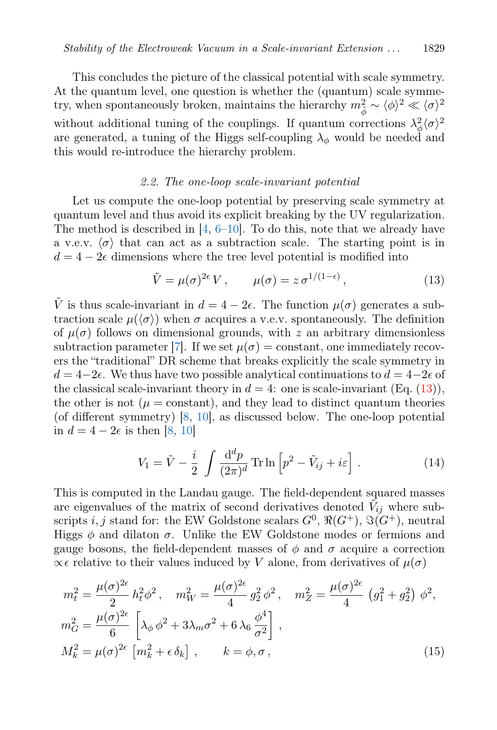This concludes the picture of the classical potential with scale symmetry. At the quantum level, one question is whether the (quantum) scale symmetry, when spontaneously broken, maintains the hierarchy  $m_{\tilde{\phi}}^2 \sim \langle \phi \rangle^2 \ll \langle \sigma \rangle^2$ without additional tuning of the couplings. If quantum corrections  $\lambda_{\phi}^2 \langle \sigma \rangle^2$ are generated, a tuning of the Higgs self-coupling  $\lambda_{\phi}$  would be needed and this would re-introduce the hierarchy problem.

### 2.2. The one-loop scale-invariant potential

Let us compute the one-loop potential by preserving scale symmetry at quantum level and thus avoid its explicit breaking by the UV regularization. The method is described in  $[4, 6-10]$  $[4, 6-10]$  $[4, 6-10]$  $[4, 6-10]$ . To do this, note that we already have a v.e.v.  $\langle \sigma \rangle$  that can act as a subtraction scale. The starting point is in  $d = 4 - 2\epsilon$  dimensions where the tree level potential is modified into

<span id="page-6-0"></span>
$$
\tilde{V} = \mu(\sigma)^{2\epsilon} V, \qquad \mu(\sigma) = z \sigma^{1/(1-\epsilon)}, \tag{13}
$$

 $\tilde{V}$  is thus scale-invariant in  $d = 4 - 2\epsilon$ . The function  $\mu(\sigma)$  generates a subtraction scale  $\mu(\langle \sigma \rangle)$  when  $\sigma$  acquires a v.e.v. spontaneously. The definition of  $\mu(\sigma)$  follows on dimensional grounds, with z an arbitrary dimensionless subtraction parameter [\[7\]](#page-12-10). If we set  $\mu(\sigma) =$  constant, one immediately recovers the "traditional" DR scheme that breaks explicitly the scale symmetry in  $d = 4-2\epsilon$ . We thus have two possible analytical continuations to  $d = 4-2\epsilon$  of the classical scale-invariant theory in  $d = 4$ : one is scale-invariant (Eq. [\(13\)](#page-6-0)), the other is not ( $\mu = constant$ ), and they lead to distinct quantum theories (of different symmetry) [\[8,](#page-12-4) [10\]](#page-12-6), as discussed below. The one-loop potential in  $d = 4 - 2\epsilon$  is then [\[8,](#page-12-4) [10\]](#page-12-6)

<span id="page-6-1"></span>
$$
V_1 = \tilde{V} - \frac{i}{2} \int \frac{\mathrm{d}^d p}{(2\pi)^d} \operatorname{Tr} \ln \left[ p^2 - \tilde{V}_{ij} + i\varepsilon \right]. \tag{14}
$$

This is computed in the Landau gauge. The field-dependent squared masses are eigenvalues of the matrix of second derivatives denoted  $\tilde{V}_{ij}$  where subscripts i, j stand for: the EW Goldstone scalars  $G^0$ ,  $\Re(G^+)$ ,  $\Im(G^+)$ , neutral Higgs  $\phi$  and dilaton  $\sigma$ . Unlike the EW Goldstone modes or fermions and gauge bosons, the field-dependent masses of  $\phi$  and  $\sigma$  acquire a correction  $\alpha \epsilon$  relative to their values induced by V alone, from derivatives of  $\mu(\sigma)$ 

$$
m_t^2 = \frac{\mu(\sigma)^{2\epsilon}}{2} h_t^2 \phi^2, \quad m_W^2 = \frac{\mu(\sigma)^{2\epsilon}}{4} g_2^2 \phi^2, \quad m_Z^2 = \frac{\mu(\sigma)^{2\epsilon}}{4} (g_1^2 + g_2^2) \phi^2,
$$
  

$$
m_G^2 = \frac{\mu(\sigma)^{2\epsilon}}{6} \left[ \lambda_\phi \phi^2 + 3\lambda_m \sigma^2 + 6\lambda_6 \frac{\phi^4}{\sigma^2} \right],
$$
  

$$
M_k^2 = \mu(\sigma)^{2\epsilon} \left[ m_k^2 + \epsilon \delta_k \right], \qquad k = \phi, \sigma,
$$
 (15)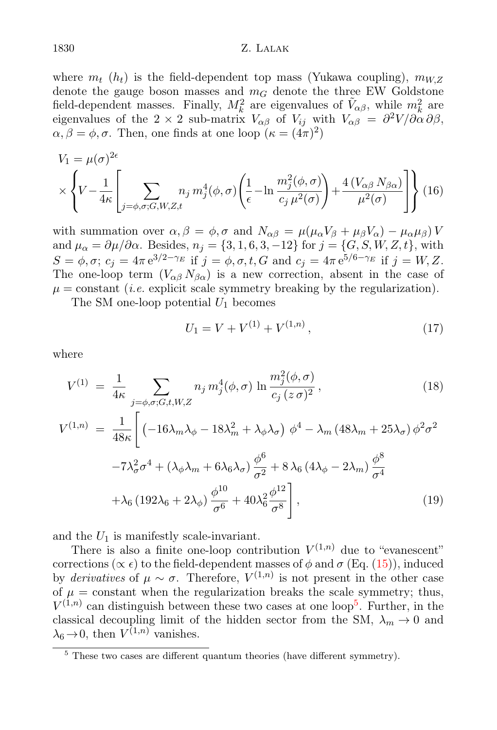where  $m_t$  ( $h_t$ ) is the field-dependent top mass (Yukawa coupling),  $m_{W,Z}$ denote the gauge boson masses and  $m<sub>G</sub>$  denote the three EW Goldstone field-dependent masses. Finally,  $M_k^2$  are eigenvalues of  $\tilde{V}_{\alpha\beta}$ , while  $m_k^2$  are eigenvalues of the 2 × 2 sub-matrix  $V_{\alpha\beta}$  of  $V_{ij}$  with  $V_{\alpha\beta} = \frac{\partial^2 V}{\partial \alpha \partial \beta}$ ,  $\alpha, \beta = \phi, \sigma$ . Then, one finds at one loop  $(\kappa = (4\pi)^2)$ 

$$
V_1 = \mu(\sigma)^{2\epsilon}
$$
  
 
$$
\times \left\{ V - \frac{1}{4\kappa} \left[ \sum_{j=\phi,\sigma;G,W,Z,t} n_j m_j^4(\phi,\sigma) \left( \frac{1}{\epsilon} - \ln \frac{m_j^2(\phi,\sigma)}{c_j \mu^2(\sigma)} \right) + \frac{4 \left( V_{\alpha\beta} N_{\beta\alpha} \right)}{\mu^2(\sigma)} \right] \right\} (16)
$$

with summation over  $\alpha, \beta = \phi, \sigma$  and  $N_{\alpha\beta} = \mu(\mu_{\alpha}V_{\beta} + \mu_{\beta}V_{\alpha}) - \mu_{\alpha}\mu_{\beta}V_{\alpha}$ and  $\mu_{\alpha} = \partial \mu / \partial \alpha$ . Besides,  $n_j = \{3, 1, 6, 3, -12\}$  for  $j = \{G, S, W, Z, t\}$ , with  $S = \phi, \sigma; c_j = 4\pi e^{3/2 - \gamma_E}$  if  $j = \phi, \sigma, t, G$  and  $c_j = 4\pi e^{5/6 - \gamma_E}$  if  $j = W, Z$ . The one-loop term  $(V_{\alpha\beta} N_{\beta\alpha})$  is a new correction, absent in the case of  $\mu =$  constant (*i.e.* explicit scale symmetry breaking by the regularization).

The SM one-loop potential  $U_1$  becomes

$$
U_1 = V + V^{(1)} + V^{(1,n)}, \tag{17}
$$

where

$$
V^{(1)} = \frac{1}{4\kappa} \sum_{j=\phi,\sigma;G,t,W,Z} n_j m_j^4(\phi,\sigma) \ln \frac{m_j^2(\phi,\sigma)}{c_j(z\sigma)^2},
$$
(18)  

$$
V^{(1,n)} = \frac{1}{48\kappa} \Biggl[ \left( -16\lambda_m \lambda_\phi - 18\lambda_m^2 + \lambda_\phi \lambda_\sigma \right) \phi^4 - \lambda_m \left( 48\lambda_m + 25\lambda_\sigma \right) \phi^2 \sigma^2 - 7\lambda_\sigma^2 \sigma^4 + \left( \lambda_\phi \lambda_m + 6\lambda_6 \lambda_\sigma \right) \frac{\phi^6}{\sigma^2} + 8\lambda_6 \left( 4\lambda_\phi - 2\lambda_m \right) \frac{\phi^8}{\sigma^4} + \lambda_6 \left( 192\lambda_6 + 2\lambda_\phi \right) \frac{\phi^{10}}{\sigma^6} + 40\lambda_6^2 \frac{\phi^{12}}{\sigma^8} \Biggr],
$$
(19)

and the  $U_1$  is manifestly scale-invariant.

There is also a finite one-loop contribution  $V^{(1,n)}$  due to "evanescent" corrections ( $\propto \epsilon$ ) to the field-dependent masses of  $\phi$  and  $\sigma$  (Eq. [\(15\)](#page-6-1)), induced by *derivatives* of  $\mu \sim \sigma$ . Therefore,  $V^{(1,n)}$  is not present in the other case of  $\mu$  = constant when the regularization breaks the scale symmetry; thus,  $V^{(1,n)}$  can distinguish between these two cases at one loop<sup>[5](#page-7-0)</sup>. Further, in the classical decoupling limit of the hidden sector from the SM,  $\lambda_m \to 0$  and  $\lambda_6 \rightarrow 0$ , then  $V^{(1,n)}$  vanishes.

<span id="page-7-0"></span> $5$  These two cases are different quantum theories (have different symmetry).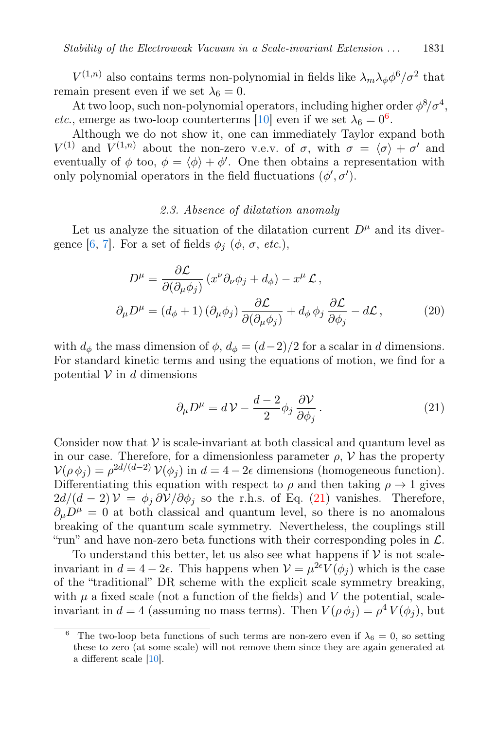$V^{(1,n)}$  also contains terms non-polynomial in fields like  $\lambda_m \lambda_\phi \phi^6 / \sigma^2$  that remain present even if we set  $\lambda_6 = 0$ .

At two loop, such non-polynomial operators, including higher order  $\phi^8/\sigma^4$ , *etc.*, emerge as two-loop counterterms [\[10\]](#page-12-6) even if we set  $\lambda_6 = 0^6$  $\lambda_6 = 0^6$  $\lambda_6 = 0^6$ .

Although we do not show it, one can immediately Taylor expand both  $V^{(1)}$  and  $V^{(1,n)}$  about the non-zero v.e.v. of  $\sigma$ , with  $\sigma = \langle \sigma \rangle + \sigma'$  and eventually of  $\phi$  too,  $\phi = \langle \phi \rangle + \phi'$ . One then obtains a representation with only polynomial operators in the field fluctuations  $(\phi', \sigma')$ .

# 2.3. Absence of dilatation anomaly

Let us analyze the situation of the dilatation current  $D^{\mu}$  and its diver-gence [\[6,](#page-12-9) [7\]](#page-12-10). For a set of fields  $\phi_i$  ( $\phi$ ,  $\sigma$ , etc.),

$$
D^{\mu} = \frac{\partial \mathcal{L}}{\partial(\partial_{\mu}\phi_j)} (x^{\nu}\partial_{\nu}\phi_j + d_{\phi}) - x^{\mu} \mathcal{L},
$$
  

$$
\partial_{\mu}D^{\mu} = (d_{\phi} + 1) (\partial_{\mu}\phi_j) \frac{\partial \mathcal{L}}{\partial(\partial_{\mu}\phi_j)} + d_{\phi}\phi_j \frac{\partial \mathcal{L}}{\partial\phi_j} - d\mathcal{L},
$$
 (20)

with  $d_{\phi}$  the mass dimension of  $\phi$ ,  $d_{\phi} = (d-2)/2$  for a scalar in d dimensions. For standard kinetic terms and using the equations of motion, we find for a potential  $V$  in d dimensions

<span id="page-8-1"></span>
$$
\partial_{\mu}D^{\mu} = d\mathcal{V} - \frac{d-2}{2}\phi_{j}\frac{\partial V}{\partial \phi_{j}}.
$$
\n(21)

Consider now that  $V$  is scale-invariant at both classical and quantum level as in our case. Therefore, for a dimensionless parameter  $\rho$ ,  $\mathcal V$  has the property  $\mathcal{V}(\rho \phi_j) = \rho^{2d/(d-2)} \mathcal{V}(\phi_j)$  in  $d = 4 - 2\epsilon$  dimensions (homogeneous function). Differentiating this equation with respect to  $\rho$  and then taking  $\rho \rightarrow 1$  gives  $2d/(d-2)$   $\mathcal{V} = \phi_i \partial \mathcal{V}/\partial \phi_i$  so the r.h.s. of Eq. [\(21\)](#page-8-1) vanishes. Therefore,  $\partial_{\mu}D^{\mu} = 0$  at both classical and quantum level, so there is no anomalous breaking of the quantum scale symmetry. Nevertheless, the couplings still "run" and have non-zero beta functions with their corresponding poles in  $\mathcal{L}$ .

To understand this better, let us also see what happens if  $V$  is not scaleinvariant in  $d = 4 - 2\epsilon$ . This happens when  $\mathcal{V} = \mu^{2\epsilon} V(\phi_j)$  which is the case of the "traditional" DR scheme with the explicit scale symmetry breaking, with  $\mu$  a fixed scale (not a function of the fields) and V the potential, scaleinvariant in  $d = 4$  (assuming no mass terms). Then  $V(\rho \phi_j) = \rho^4 V(\phi_j)$ , but

<span id="page-8-0"></span>The two-loop beta functions of such terms are non-zero even if  $\lambda_6 = 0$ , so setting these to zero (at some scale) will not remove them since they are again generated at a different scale [\[10\]](#page-12-6).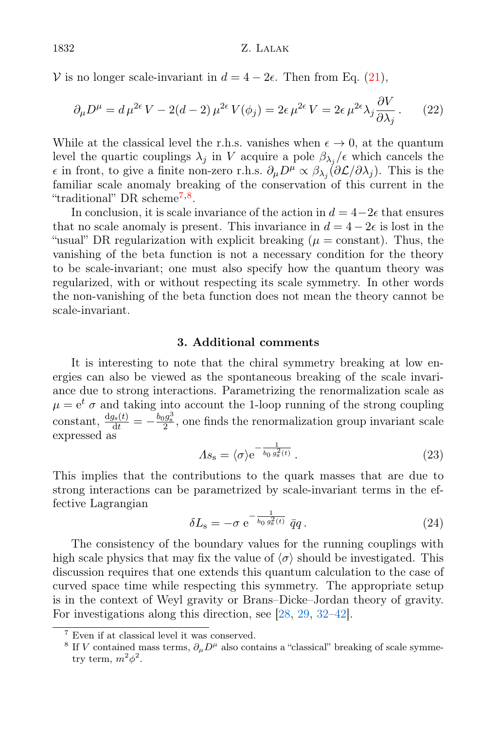V is no longer scale-invariant in  $d = 4 - 2\epsilon$ . Then from Eq. [\(21\)](#page-8-1),

$$
\partial_{\mu}D^{\mu} = d\,\mu^{2\epsilon}\,V - 2(d-2)\,\mu^{2\epsilon}\,V(\phi_j) = 2\epsilon\,\mu^{2\epsilon}\,V = 2\epsilon\,\mu^{2\epsilon}\lambda_j\frac{\partial V}{\partial \lambda_j}.\tag{22}
$$

While at the classical level the r.h.s. vanishes when  $\epsilon \to 0$ , at the quantum level the quartic couplings  $\lambda_j$  in V acquire a pole  $\beta_{\lambda_j}/\epsilon$  which cancels the  $\epsilon$  in front, to give a finite non-zero r.h.s.  $\partial_{\mu}D^{\mu} \propto \beta_{\lambda_j}(\partial \mathcal{L}/\partial \lambda_j)$ . This is the familiar scale anomaly breaking of the conservation of this current in the "traditional" DR scheme[7](#page-9-0),[8](#page-9-1) .

In conclusion, it is scale invariance of the action in  $d = 4-2\epsilon$  that ensures that no scale anomaly is present. This invariance in  $d = 4 - 2\epsilon$  is lost in the "usual" DR regularization with explicit breaking ( $\mu = constant$ ). Thus, the vanishing of the beta function is not a necessary condition for the theory to be scale-invariant; one must also specify how the quantum theory was regularized, with or without respecting its scale symmetry. In other words the non-vanishing of the beta function does not mean the theory cannot be scale-invariant.

### 3. Additional comments

It is interesting to note that the chiral symmetry breaking at low energies can also be viewed as the spontaneous breaking of the scale invariance due to strong interactions. Parametrizing the renormalization scale as  $\mu = e^t \sigma$  and taking into account the 1-loop running of the strong coupling constant,  $\frac{dg_s(t)}{dt} = -\frac{b_0g_s^3}{2}$ , one finds the renormalization group invariant scale expressed as

$$
As_{\rm s} = \langle \sigma \rangle e^{-\frac{1}{b_0 g_{\rm s}^2(t)}}.
$$
\n(23)

This implies that the contributions to the quark masses that are due to strong interactions can be parametrized by scale-invariant terms in the effective Lagrangian

$$
\delta L_{\rm s} = -\sigma \,\,\mathrm{e}^{-\frac{1}{b_0 \,g_{\rm s}^2(t)}}\,\,\bar{q}q\,. \tag{24}
$$

The consistency of the boundary values for the running couplings with high scale physics that may fix the value of  $\langle \sigma \rangle$  should be investigated. This discussion requires that one extends this quantum calculation to the case of curved space time while respecting this symmetry. The appropriate setup is in the context of Weyl gravity or Brans–Dicke–Jordan theory of gravity. For investigations along this direction, see [\[28,](#page-13-2) [29,](#page-13-3) [32–](#page-13-5)[42\]](#page-14-0).

<span id="page-9-0"></span> $\sqrt{7}$  Even if at classical level it was conserved.

<span id="page-9-1"></span><sup>&</sup>lt;sup>8</sup> If V contained mass terms,  $\partial_{\mu}D^{\mu}$  also contains a "classical" breaking of scale symmetry term,  $m^2\phi^2$ .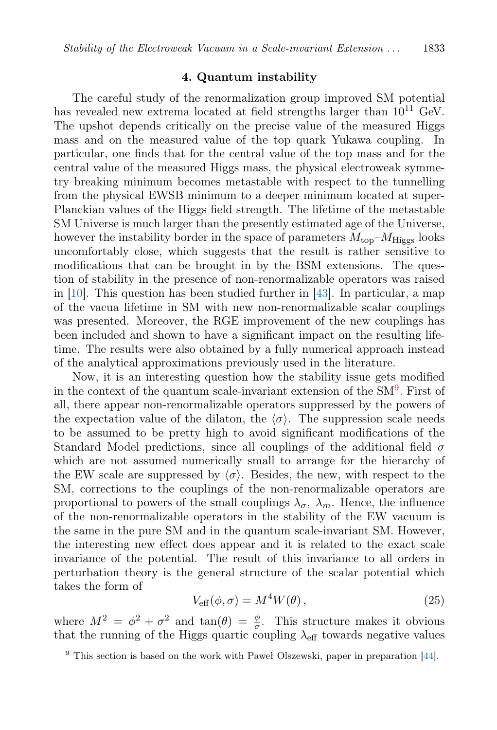### 4. Quantum instability

The careful study of the renormalization group improved SM potential has revealed new extrema located at field strengths larger than  $10^{11}$  GeV. The upshot depends critically on the precise value of the measured Higgs mass and on the measured value of the top quark Yukawa coupling. In particular, one finds that for the central value of the top mass and for the central value of the measured Higgs mass, the physical electroweak symmetry breaking minimum becomes metastable with respect to the tunnelling from the physical EWSB minimum to a deeper minimum located at super-Planckian values of the Higgs field strength. The lifetime of the metastable SM Universe is much larger than the presently estimated age of the Universe, however the instability border in the space of parameters  $M_{\text{top}}-M_{\text{Higgs}}$  looks uncomfortably close, which suggests that the result is rather sensitive to modifications that can be brought in by the BSM extensions. The question of stability in the presence of non-renormalizable operators was raised in  $[10]$ . This question has been studied further in  $[43]$ . In particular, a map of the vacua lifetime in SM with new non-renormalizable scalar couplings was presented. Moreover, the RGE improvement of the new couplings has been included and shown to have a significant impact on the resulting lifetime. The results were also obtained by a fully numerical approach instead of the analytical approximations previously used in the literature.

Now, it is an interesting question how the stability issue gets modified in the context of the quantum scale-invariant extension of the SM[9](#page-10-0) . First of all, there appear non-renormalizable operators suppressed by the powers of the expectation value of the dilaton, the  $\langle \sigma \rangle$ . The suppression scale needs to be assumed to be pretty high to avoid significant modifications of the Standard Model predictions, since all couplings of the additional field  $\sigma$ which are not assumed numerically small to arrange for the hierarchy of the EW scale are suppressed by  $\langle \sigma \rangle$ . Besides, the new, with respect to the SM, corrections to the couplings of the non-renormalizable operators are proportional to powers of the small couplings  $\lambda_{\sigma}$ ,  $\lambda_{m}$ . Hence, the influence of the non-renormalizable operators in the stability of the EW vacuum is the same in the pure SM and in the quantum scale-invariant SM. However, the interesting new effect does appear and it is related to the exact scale invariance of the potential. The result of this invariance to all orders in perturbation theory is the general structure of the scalar potential which takes the form of

$$
V_{\text{eff}}(\phi, \sigma) = M^4 W(\theta), \qquad (25)
$$

where  $M^2 = \phi^2 + \sigma^2$  and  $\tan(\theta) = \frac{\phi}{\sigma}$ . This structure makes it obvious that the running of the Higgs quartic coupling  $\lambda_{\text{eff}}$  towards negative values

<span id="page-10-0"></span><sup>&</sup>lt;sup>9</sup> This section is based on the work with Paweł Olszewski, paper in preparation [\[44\]](#page-14-2).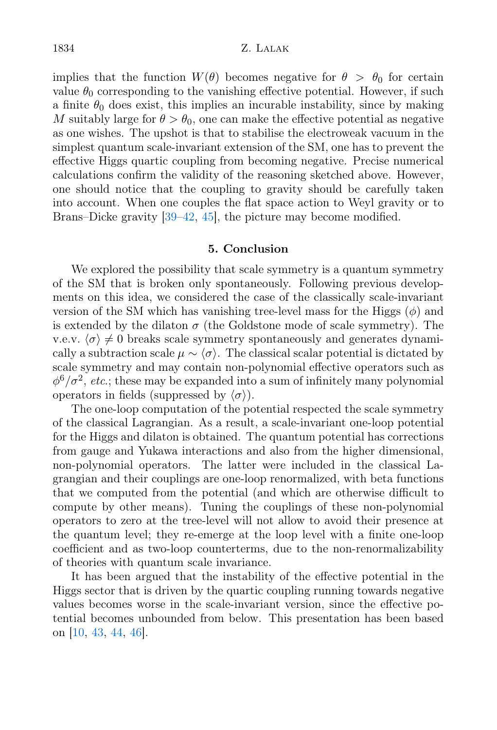implies that the function  $W(\theta)$  becomes negative for  $\theta > \theta_0$  for certain value  $\theta_0$  corresponding to the vanishing effective potential. However, if such a finite  $\theta_0$  does exist, this implies an incurable instability, since by making M suitably large for  $\theta > \theta_0$ , one can make the effective potential as negative as one wishes. The upshot is that to stabilise the electroweak vacuum in the simplest quantum scale-invariant extension of the SM, one has to prevent the effective Higgs quartic coupling from becoming negative. Precise numerical calculations confirm the validity of the reasoning sketched above. However, one should notice that the coupling to gravity should be carefully taken into account. When one couples the flat space action to Weyl gravity or to Brans–Dicke gravity [\[39](#page-13-7)[–42,](#page-14-0) [45\]](#page-14-3), the picture may become modified.

# 5. Conclusion

We explored the possibility that scale symmetry is a quantum symmetry of the SM that is broken only spontaneously. Following previous developments on this idea, we considered the case of the classically scale-invariant version of the SM which has vanishing tree-level mass for the Higgs  $(\phi)$  and is extended by the dilaton  $\sigma$  (the Goldstone mode of scale symmetry). The v.e.v.  $\langle \sigma \rangle \neq 0$  breaks scale symmetry spontaneously and generates dynamically a subtraction scale  $\mu \sim \langle \sigma \rangle$ . The classical scalar potential is dictated by scale symmetry and may contain non-polynomial effective operators such as  $\phi^6/\sigma^2$ , *etc.*; these may be expanded into a sum of infinitely many polynomial operators in fields (suppressed by  $\langle \sigma \rangle$ ).

The one-loop computation of the potential respected the scale symmetry of the classical Lagrangian. As a result, a scale-invariant one-loop potential for the Higgs and dilaton is obtained. The quantum potential has corrections from gauge and Yukawa interactions and also from the higher dimensional, non-polynomial operators. The latter were included in the classical Lagrangian and their couplings are one-loop renormalized, with beta functions that we computed from the potential (and which are otherwise difficult to compute by other means). Tuning the couplings of these non-polynomial operators to zero at the tree-level will not allow to avoid their presence at the quantum level; they re-emerge at the loop level with a finite one-loop coefficient and as two-loop counterterms, due to the non-renormalizability of theories with quantum scale invariance.

It has been argued that the instability of the effective potential in the Higgs sector that is driven by the quartic coupling running towards negative values becomes worse in the scale-invariant version, since the effective potential becomes unbounded from below. This presentation has been based on [\[10,](#page-12-6) [43,](#page-14-1) [44,](#page-14-2) [46\]](#page-14-4).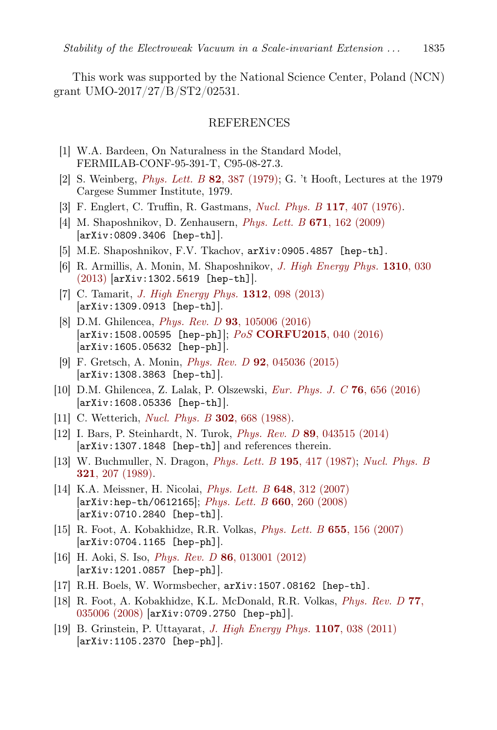This work was supported by the National Science Center, Poland (NCN) grant UMO-2017/27/B/ST2/02531.

### REFERENCES

- <span id="page-12-0"></span>[1] W.A. Bardeen, On Naturalness in the Standard Model, FERMILAB-CONF-95-391-T, C95-08-27.3.
- <span id="page-12-1"></span>[2] S. Weinberg, [Phys. Lett. B](http://dx.doi.org/10.1016/0370-2693(79)90248-X) 82, 387 (1979); G. 't Hooft, Lectures at the 1979 Cargese Summer Institute, 1979.
- <span id="page-12-2"></span>[3] F. Englert, C. Truffin, R. Gastmans, [Nucl. Phys. B](http://dx.doi.org/10.1016/0550-3213(76)90406-5) 117, 407 (1976).
- <span id="page-12-3"></span>[4] M. Shaposhnikov, D. Zenhausern, [Phys. Lett. B](http://dx.doi.org/10.1016/j.physletb.2008.11.041) 671, 162 (2009) [arXiv:0809.3406 [hep-th]].
- [5] M.E. Shaposhnikov, F.V. Tkachov, arXiv:0905.4857 [hep-th].
- <span id="page-12-9"></span>[6] R. Armillis, A. Monin, M. Shaposhnikov, [J. High Energy Phys.](http://dx.doi.org/10.1007/JHEP10(2013)030) 1310, 030 [\(2013\)](http://dx.doi.org/10.1007/JHEP10(2013)030) [arXiv:1302.5619 [hep-th]].
- <span id="page-12-10"></span>[7] C. Tamarit, *[J. High Energy Phys.](http://dx.doi.org/10.1007/JHEP12(2013)098)* **1312**, 098 (2013) [arXiv:1309.0913 [hep-th]].
- <span id="page-12-4"></span>[8] D.M. Ghilencea, *Phys. Rev. D* 93[, 105006 \(2016\)](http://dx.doi.org/10.1103/PhysRevD.93.105006)  $[\mathtt{arXiv:1508.00595} \ \ [\mathtt{hep-ph}]\,]; \ Po{PoRFU2015,040} \ (2016)$ [arXiv:1605.05632 [hep-ph]].
- <span id="page-12-5"></span>[9] F. Gretsch, A. Monin, Phys. Rev. D 92[, 045036 \(2015\)](http://dx.doi.org/10.1103/PhysRevD.92.045036) [arXiv:1308.3863 [hep-th]].
- <span id="page-12-6"></span>[10] D.M. Ghilencea, Z. Lalak, P. Olszewski, [Eur. Phys. J. C](http://dx.doi.org/10.1140/epjc/s10052-016-4475-0) 76, 656 (2016) [arXiv:1608.05336 [hep-th]].
- <span id="page-12-7"></span>[11] C. Wetterich, *[Nucl. Phys. B](http://dx.doi.org/10.1016/0550-3213(88)90193-9)* **302**, 668 (1988).
- [12] I. Bars, P. Steinhardt, N. Turok, Phys. Rev. D 89[, 043515 \(2014\)](http://dx.doi.org/10.1103/PhysRevD.89.043515) [arXiv:1307.1848 [hep-th]] and references therein.
- [13] W. Buchmuller, N. Dragon, [Phys. Lett. B](http://dx.doi.org/10.1016/0370-2693(87)90041-4) 195, 417 (1987); [Nucl. Phys. B](http://dx.doi.org/10.1016/0550-3213(89)90249-6) 321[, 207 \(1989\).](http://dx.doi.org/10.1016/0550-3213(89)90249-6)
- [14] K.A. Meissner, H. Nicolai, [Phys. Lett. B](http://dx.doi.org/10.1016/j.physletb.2007.03.023) 648, 312 (2007)  $[\texttt{arXiv:hep-th/0612165}];$   $Phys.$  Lett. B 660, 260 (2008) [arXiv:0710.2840 [hep-th]].
- [15] R. Foot, A. Kobakhidze, R.R. Volkas, [Phys. Lett. B](http://dx.doi.org/10.1016/j.physletb.2007.06.084) 655, 156 (2007) [arXiv:0704.1165 [hep-ph]].
- [16] H. Aoki, S. Iso, Phys. Rev. D 86[, 013001 \(2012\)](http://dx.doi.org/10.1103/PhysRevD.86.013001) [arXiv:1201.0857 [hep-ph]].
- [17] R.H. Boels, W. Wormsbecher, arXiv:1507.08162 [hep-th].
- <span id="page-12-8"></span>[18] R. Foot, A. Kobakhidze, K.L. McDonald, R.R. Volkas, [Phys. Rev. D](http://dx.doi.org/10.1103/PhysRevD.77.035006) 77, [035006 \(2008\)](http://dx.doi.org/10.1103/PhysRevD.77.035006) [arXiv:0709.2750 [hep-ph]].
- [19] B. Grinstein, P. Uttayarat, [J. High Energy Phys.](http://dx.doi.org/10.1007/JHEP07(2011)038) 1107, 038 (2011) [arXiv:1105.2370 [hep-ph]].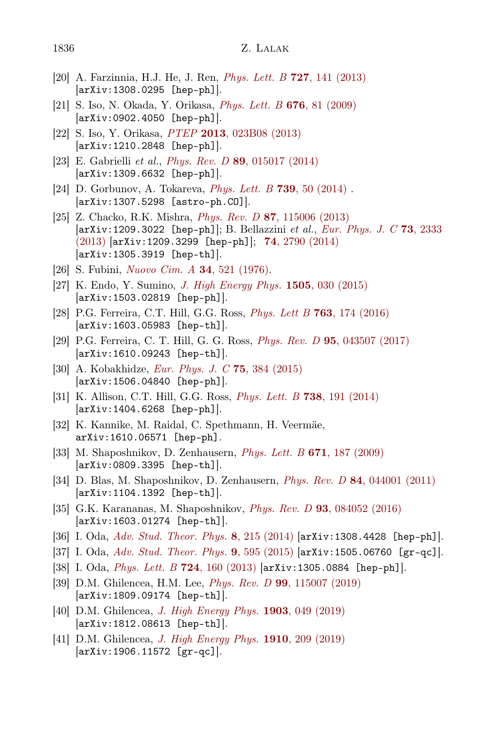- [20] A. Farzinnia, H.J. He, J. Ren, [Phys. Lett. B](http://dx.doi.org/10.1016/j.physletb.2013.09.060) 727, 141 (2013) [arXiv:1308.0295 [hep-ph]].
- [21] S. Iso, N. Okada, Y. Orikasa, *[Phys. Lett. B](http://dx.doi.org/10.1016/j.physletb.2009.04.046)* **676**, 81 (2009) [arXiv:0902.4050 [hep-ph]].
- [22] S. Iso, Y. Orikasa, *PTEP* **2013**[, 023B08 \(2013\)](http://dx.doi.org/10.1093/ptep/pts099) [arXiv:1210.2848 [hep-ph]].
- [23] E. Gabrielli et al., *Phys. Rev. D* 89[, 015017 \(2014\)](http://dx.doi.org/10.1103/PhysRevD.89.015017) [arXiv:1309.6632 [hep-ph]].
- [24] D. Gorbunov, A. Tokareva, *[Phys. Lett. B](http://dx.doi.org/10.1016/j.physletb.2014.10.036)* **739**, 50 (2014). [arXiv:1307.5298 [astro-ph.CO]].
- [25] Z. Chacko, R.K. Mishra, Phys. Rev. D 87[, 115006 \(2013\)](http://dx.doi.org/10.1103/PhysRevD.87.115006)  $[\texttt{arXiv:1209.3022}$   $[\texttt{hep-ph}];$  B. Bellazzini *et al., [Eur. Phys. J. C](http://dx.doi.org/10.1140/epjc/s10052-013-2333-x)* **73**, 2333  $(2013)$   $\text{arXiv:1209.3299}$   $\text{[hep-ph]}$ ; 74, 2790  $(2014)$ [arXiv:1305.3919 [hep-th]].
- [26] S. Fubini, [Nuovo Cim. A](http://dx.doi.org/10.1007/BF02785664) 34, 521 (1976).
- <span id="page-13-0"></span>[27] K. Endo, Y. Sumino, *[J. High Energy Phys.](http://dx.doi.org/10.1007/JHEP05(2015)030)* **1505**, 030  $(2015)$ [arXiv:1503.02819 [hep-ph]].
- <span id="page-13-2"></span>[28] P.G. Ferreira, C.T. Hill, G.G. Ross, [Phys. Lett B](http://dx.doi.org/10.1016/j.physletb.2016.10.036) 763, 174 (2016) [arXiv:1603.05983 [hep-th]].
- <span id="page-13-3"></span>[29] P.G. Ferreira, C. T. Hill, G. G. Ross, Phys. Rev. D 95[, 043507 \(2017\)](http://dx.doi.org/10.1103/PhysRevD.95.043507) [arXiv:1610.09243 [hep-th]].
- <span id="page-13-4"></span>[30] A. Kobakhidze, [Eur. Phys. J. C](http://dx.doi.org/10.1140/epjc/s10052-015-3621-4) 75, 384 (2015) [arXiv:1506.04840 [hep-ph]].
- <span id="page-13-1"></span>[31] K. Allison, C.T. Hill, G.G. Ross, *[Phys. Lett. B](http://dx.doi.org/10.1016/j.physletb.2014.09.041)* **738**, 191 (2014) [arXiv:1404.6268 [hep-ph]].
- <span id="page-13-5"></span>[32] K. Kannike, M. Raidal, C. Spethmann, H. Veermäe, arXiv:1610.06571 [hep-ph].
- [33] M. Shaposhnikov, D. Zenhausern, *[Phys. Lett. B](http://dx.doi.org/10.1016/j.physletb.2008.11.054)* 671, 187 (2009) [arXiv:0809.3395 [hep-th]].
- [34] D. Blas, M. Shaposhnikov, D. Zenhausern, *Phys. Rev. D* 84[, 044001 \(2011\)](http://dx.doi.org/10.1103/PhysRevD.84.044001) [arXiv:1104.1392 [hep-th]].
- [35] G.K. Karananas, M. Shaposhnikov, *Phys. Rev. D* 93[, 084052 \(2016\)](http://dx.doi.org/10.1103/PhysRevD.93.084052) [arXiv:1603.01274 [hep-th]].
- [36] I. Oda, [Adv. Stud. Theor. Phys.](http://dx.doi.org/10.12988/astp.2014.419) 8, 215 (2014)  $[\text{arXiv:1308.4428}$   $[\text{hep-ph}].$
- [37] I. Oda, [Adv. Stud. Theor. Phys.](http://dx.doi.org/10.12988/astp.2015.5777) 9, 595 (2015)  $[\text{arXiv:1505.06760}$   $[\text{gr-qc}].$
- <span id="page-13-6"></span>[38] I. Oda, *[Phys. Lett. B](http://dx.doi.org/10.1016/j.physletb.2013.06.014)* 724, 160 (2013)  $[\text{arXiv}:1305.0884$  [hep-ph].
- <span id="page-13-7"></span>[39] D.M. Ghilencea, H.M. Lee, *Phys. Rev. D* 99[, 115007 \(2019\)](http://dx.doi.org/10.1103/PhysRevD.99.115007) [arXiv:1809.09174 [hep-th]].
- [40] D.M. Ghilencea, *[J. High Energy Phys.](http://dx.doi.org/10.1007/JHEP03(2019)049)* **1903**, 049 (2019) [arXiv:1812.08613 [hep-th]].
- [41] D.M. Ghilencea, *[J. High Energy Phys.](http://dx.doi.org/10.1007/JHEP10(2019)209)* **1910**, 209 (2019) [arXiv:1906.11572 [gr-qc]].